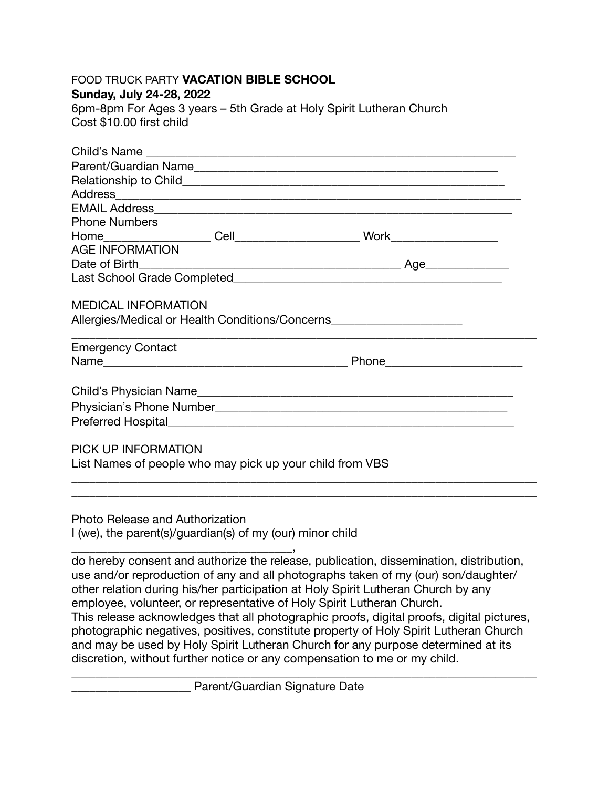| <b>FOOD TRUCK PARTY VACATION BIBLE SCHOOL</b><br>Sunday, July 24-28, 2022<br>6pm-8pm For Ages 3 years - 5th Grade at Holy Spirit Lutheran Church<br>Cost \$10.00 first child |  |                      |  |
|------------------------------------------------------------------------------------------------------------------------------------------------------------------------------|--|----------------------|--|
|                                                                                                                                                                              |  |                      |  |
|                                                                                                                                                                              |  |                      |  |
|                                                                                                                                                                              |  | Parent/Guardian Name |  |
|                                                                                                                                                                              |  |                      |  |
|                                                                                                                                                                              |  |                      |  |
| <b>Phone Numbers</b>                                                                                                                                                         |  |                      |  |
|                                                                                                                                                                              |  |                      |  |
| <b>AGE INFORMATION</b>                                                                                                                                                       |  |                      |  |
| $\frac{1}{2}$<br>Date of Birth                                                                                                                                               |  |                      |  |
|                                                                                                                                                                              |  |                      |  |
|                                                                                                                                                                              |  |                      |  |
| <b>MEDICAL INFORMATION</b>                                                                                                                                                   |  |                      |  |
| Allergies/Medical or Health Conditions/Concerns                                                                                                                              |  |                      |  |
| <b>Emergency Contact</b>                                                                                                                                                     |  |                      |  |
|                                                                                                                                                                              |  |                      |  |
|                                                                                                                                                                              |  |                      |  |
|                                                                                                                                                                              |  |                      |  |
|                                                                                                                                                                              |  |                      |  |
|                                                                                                                                                                              |  |                      |  |
|                                                                                                                                                                              |  |                      |  |
| PICK UP INFORMATION                                                                                                                                                          |  |                      |  |
| List Names of people who may pick up your child from VBS                                                                                                                     |  |                      |  |
|                                                                                                                                                                              |  |                      |  |
|                                                                                                                                                                              |  |                      |  |

Photo Release and Authorization I (we), the parent(s)/guardian(s) of my (our) minor child

\_\_\_\_\_\_\_\_\_\_\_\_\_\_\_\_\_\_\_\_\_\_\_\_\_\_\_\_\_\_\_\_\_\_\_\_\_, do hereby consent and authorize the release, publication, dissemination, distribution, use and/or reproduction of any and all photographs taken of my (our) son/daughter/ other relation during his/her participation at Holy Spirit Lutheran Church by any employee, volunteer, or representative of Holy Spirit Lutheran Church. This release acknowledges that all photographic proofs, digital proofs, digital pictures, photographic negatives, positives, constitute property of Holy Spirit Lutheran Church and may be used by Holy Spirit Lutheran Church for any purpose determined at its discretion, without further notice or any compensation to me or my child.

\_\_\_\_\_\_\_\_\_\_\_\_\_\_\_\_\_\_\_\_\_\_\_\_\_\_\_\_\_\_\_\_\_\_\_\_\_\_\_\_\_\_\_\_\_\_\_\_\_\_\_\_\_\_\_\_\_\_\_\_\_\_\_\_\_\_\_\_\_\_\_\_\_\_\_\_\_\_